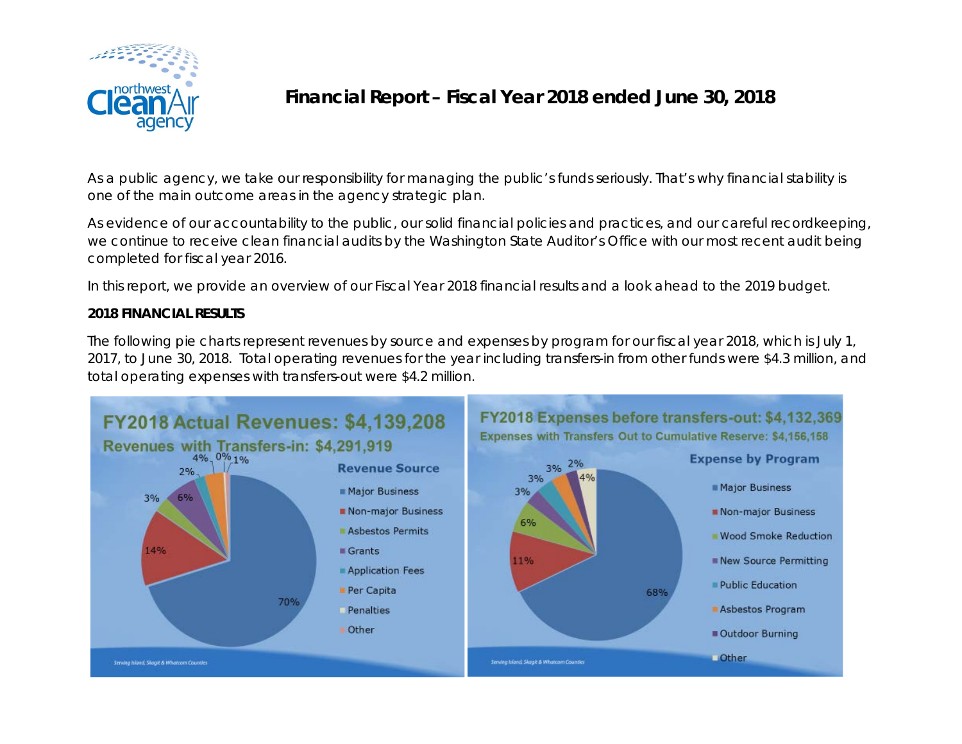

## **Financial Report – Fiscal Year 2018 ended June 30, 2018**

As a public agency, we take our responsibility for managing the public's funds seriously. That's why financial stability is one of the main outcome areas in the agency strategic plan.

As evidence of our accountability to the public, our solid financial policies and practices, and our careful recordkeeping, we continue to receive clean financial audits by the Washington State Auditor's Office with our most recent audit being completed for fiscal year 2016.

In this report, we provide an overview of our Fiscal Year 2018 financial results and a look ahead to the 2019 budget.

## **2018 FINANCIAL RESULTS**

The following pie charts represent revenues by source and expenses by program for our fiscal year 2018, which is July 1, 2017, to June 30, 2018. Total operating revenues for the year including transfers-in from other funds were \$4.3 million, and total operating expenses with transfers-out were \$4.2 million.

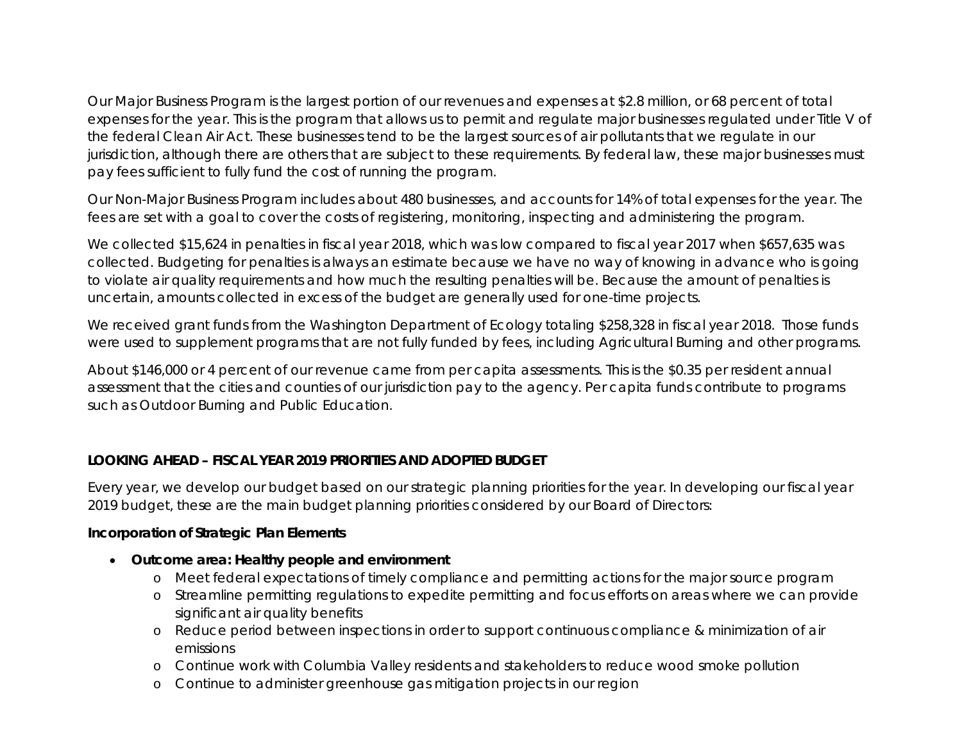Our Major Business Program is the largest portion of our revenues and expenses at \$2.8 million, or 68 percent of total expenses for the year. This is the program that allows us to permit and regulate major businesses regulated under Title V of the federal Clean Air Act. These businesses tend to be the largest sources of air pollutants that we regulate in our jurisdiction, although there are others that are subject to these requirements. By federal law, these major businesses must pay fees sufficient to fully fund the cost of running the program.

Our Non-Major Business Program includes about 480 businesses, and accounts for 14% of total expenses for the year. The fees are set with a goal to cover the costs of registering, monitoring, inspecting and administering the program.

We collected \$15,624 in penalties in fiscal year 2018, which was low compared to fiscal year 2017 when \$657,635 was collected. Budgeting for penalties is always an estimate because we have no way of knowing in advance who is going to violate air quality requirements and how much the resulting penalties will be. Because the amount of penalties is uncertain, amounts collected in excess of the budget are generally used for one-time projects.

We received grant funds from the Washington Department of Ecology totaling \$258,328 in fiscal year 2018. Those funds were used to supplement programs that are not fully funded by fees, including Agricultural Burning and other programs.

About \$146,000 or 4 percent of our revenue came from per capita assessments. This is the \$0.35 per resident annual assessment that the cities and counties of our jurisdiction pay to the agency. Per capita funds contribute to programs such as Outdoor Burning and Public Education.

## **LOOKING AHEAD – FISCAL YEAR 2019 PRIORITIES AND ADOPTED BUDGET**

Every year, we develop our budget based on our strategic planning priorities for the year. In developing our fiscal year 2019 budget, these are the main budget planning priorities considered by our Board of Directors:

## **Incorporation of Strategic Plan Elements**

- **Outcome area: Healthy people and environment**
	- o Meet federal expectations of timely compliance and permitting actions for the major source program
	- o Streamline permitting regulations to expedite permitting and focus efforts on areas where we can provide significant air quality benefits
	- o Reduce period between inspections in order to support continuous compliance & minimization of air emissions
	- o Continue work with Columbia Valley residents and stakeholders to reduce wood smoke pollution
	- o Continue to administer greenhouse gas mitigation projects in our region